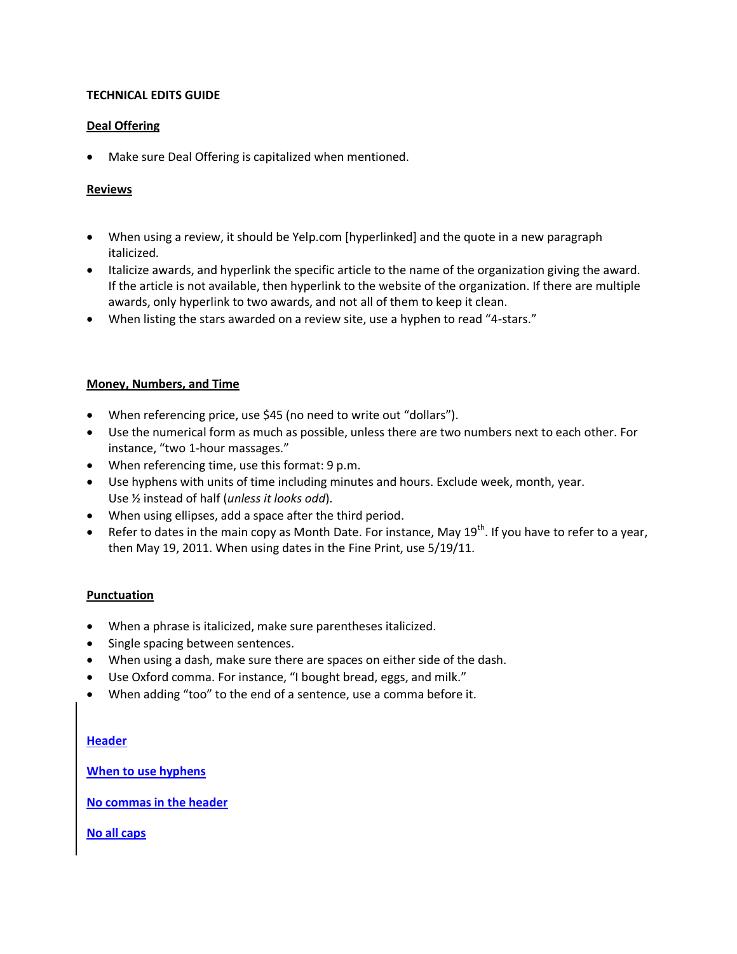# **TECHNICAL EDITS GUIDE**

# **Deal Offering**

Make sure Deal Offering is capitalized when mentioned.

## **Reviews**

- When using a review, it should be Yelp.com [hyperlinked] and the quote in a new paragraph italicized.
- Italicize awards, and hyperlink the specific article to the name of the organization giving the award. If the article is not available, then hyperlink to the website of the organization. If there are multiple awards, only hyperlink to two awards, and not all of them to keep it clean.
- When listing the stars awarded on a review site, use a hyphen to read "4-stars."

## **Money, Numbers, and Time**

- When referencing price, use \$45 (no need to write out "dollars").
- Use the numerical form as much as possible, unless there are two numbers next to each other. For instance, "two 1-hour massages."
- When referencing time, use this format: 9 p.m.
- Use hyphens with units of time including minutes and hours. Exclude week, month, year. Use ½ instead of half (*unless it looks odd*).
- When using ellipses, add a space after the third period.
- **•** Refer to dates in the main copy as Month Date. For instance, May  $19^{th}$ . If you have to refer to a year, then May 19, 2011. When using dates in the Fine Print, use 5/19/11.

## **Punctuation**

- When a phrase is italicized, make sure parentheses italicized.
- Single spacing between sentences.
- When using a dash, make sure there are spaces on either side of the dash.
- Use Oxford comma. For instance, "I bought bread, eggs, and milk."
- When adding "too" to the end of a sentence, use a comma before it.

## **Header**

**When to use hyphens**

**No commas in the header**

**No all caps**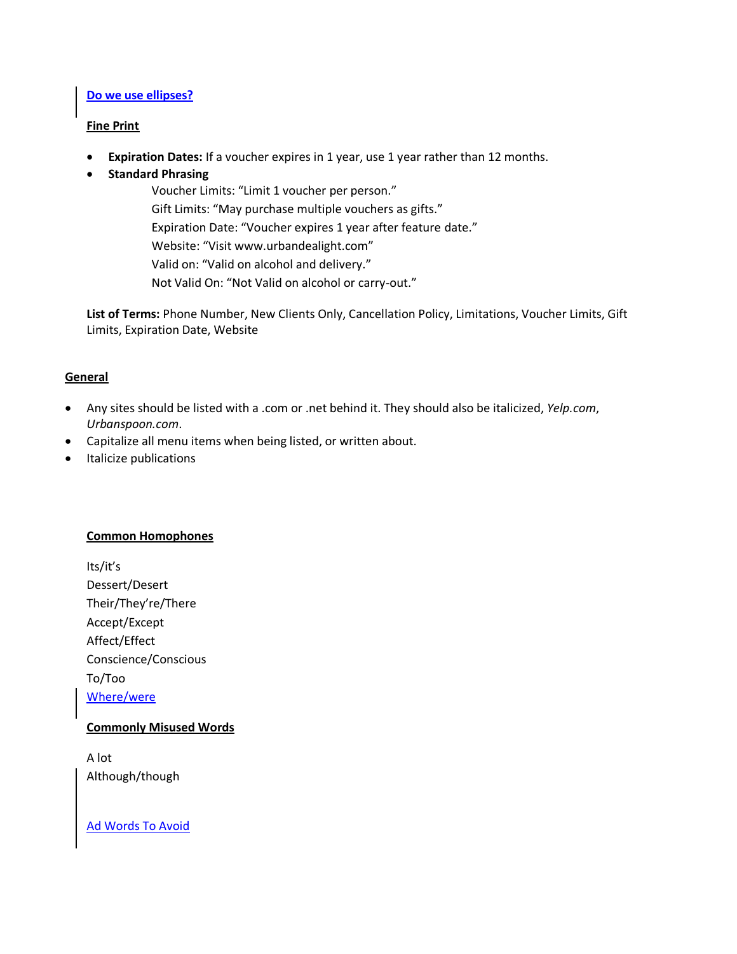#### **Do we use ellipses?**

#### **Fine Print**

- **Expiration Dates:** If a voucher expires in 1 year, use 1 year rather than 12 months.
- **Standard Phrasing**

Voucher Limits: "Limit 1 voucher per person." Gift Limits: "May purchase multiple vouchers as gifts." Expiration Date: "Voucher expires 1 year after feature date." Website: "Visit www.urbandealight.com" Valid on: "Valid on alcohol and delivery." Not Valid On: "Not Valid on alcohol or carry-out."

**List of Terms:** Phone Number, New Clients Only, Cancellation Policy, Limitations, Voucher Limits, Gift Limits, Expiration Date, Website

## **General**

- Any sites should be listed with a .com or .net behind it. They should also be italicized, *Yelp.com*, *Urbanspoon.com*.
- Capitalize all menu items when being listed, or written about.
- Italicize publications

## **Common Homophones**

Its/it's Dessert/Desert Their/They're/There Accept/Except Affect/Effect Conscience/Conscious To/Too Where/were

## **Commonly Misused Words**

A lot Although/though

Ad Words To Avoid